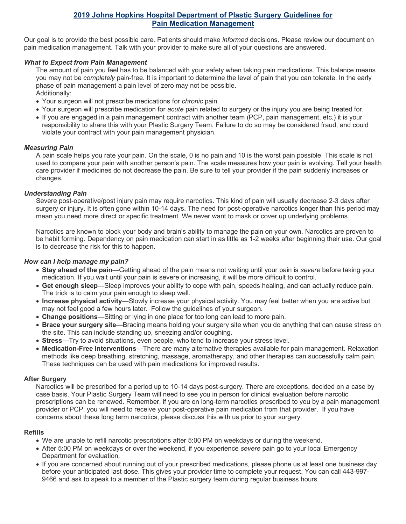# **2019 Johns Hopkins Hospital Department of Plastic Surgery Guidelines for Pain Medication Management**

Our goal is to provide the best possible care. Patients should make *informed* decisions. Please review our document on pain medication management. Talk with your provider to make sure all of your questions are answered.

### *What to Expect from Pain Management*

The amount of pain you feel has to be balanced with your safety when taking pain medications. This balance means you may not be *completely* pain-free. It is important to determine the level of pain that you can tolerate. In the early phase of pain management a pain level of zero may not be possible. Additionally:

- Your surgeon will not prescribe medications for *chronic* pain.
- Your surgeon will prescribe medication for *acute* pain related to surgery or the injury you are being treated for.
- If you are engaged in a pain management contract with another team (PCP, pain management, etc.) it is your responsibility to share this with your Plastic Surgery Team. Failure to do so may be considered fraud, and could violate your contract with your pain management physician.

# *Measuring Pain*

A pain scale helps you rate your pain. On the scale, 0 is no pain and 10 is the worst pain possible. This scale is not used to compare your pain with another person's pain. The scale measures how your pain is evolving. Tell your health care provider if medicines do not decrease the pain. Be sure to tell your provider if the pain suddenly increases or changes.

# *Understanding Pain*

Severe post-operative/post injury pain may require narcotics. This kind of pain will usually decrease 2-3 days after surgery or injury. It is often gone within 10-14 days. The need for post-operative narcotics longer than this period may mean you need more direct or specific treatment. We never want to mask or cover up underlying problems.

Narcotics are known to block your body and brain's ability to manage the pain on your own. Narcotics are proven to be habit forming. Dependency on pain medication can start in as little as 1-2 weeks after beginning their use. Our goal is to decrease the risk for this to happen.

# *How can I help manage my pain?*

- **Stay ahead of the pain**—Getting ahead of the pain means not waiting until your pain is *severe* before taking your medication. If you wait until your pain is severe or increasing, it will be more difficult to control.
- **Get enough sleep**—Sleep improves your ability to cope with pain, speeds healing, and can actually reduce pain. The trick is to calm your pain enough to sleep well.
- **Increase physical activity**—Slowly increase your physical activity. You may feel better when you are active but may not feel good a few hours later. Follow the guidelines of your surgeon.
- **Change positions**—Sitting or lying in one place for too long can lead to more pain.
- **Brace your surgery site**—Bracing means holding your surgery site when you do anything that can cause stress on the site. This can include standing up, sneezing and/or coughing.
- **Stress**—Try to avoid situations, even people, who tend to increase your stress level.
- **Medication-Free Interventions**—There are many alternative therapies available for pain management. Relaxation methods like deep breathing, stretching, massage, aromatherapy, and other therapies can successfully calm pain. These techniques can be used with pain medications for improved results.

### **After Surgery**

Narcotics will be prescribed for a period up to 10-14 days post-surgery. There are exceptions, decided on a case by case basis. Your Plastic Surgery Team will need to see you in person for clinical evaluation before narcotic prescriptions can be renewed. Remember, if you are on long-term narcotics prescribed to you by a pain management provider or PCP, you will need to receive your post-operative pain medication from that provider. If you have concerns about these long term narcotics, please discuss this with us prior to your surgery.

### **Refills**

- We are unable to refill narcotic prescriptions after 5:00 PM on weekdays or during the weekend.
- After 5:00 PM on weekdays or over the weekend, if you experience *severe* pain go to your local Emergency Department for evaluation.
- If you are concerned about running out of your prescribed medications, please phone us at least one business day before your anticipated last dose. This gives your provider time to complete your request. You can call 443-997- 9466 and ask to speak to a member of the Plastic surgery team during regular business hours.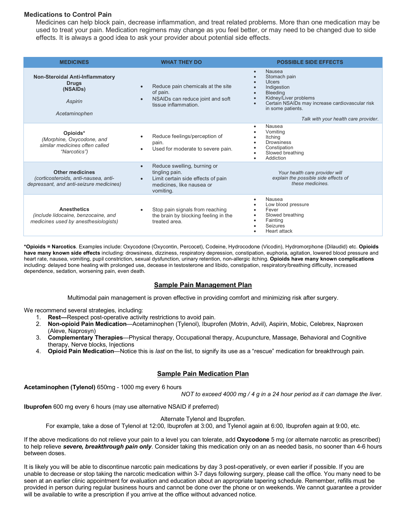# **Medications to Control Pain**

Medicines can help block pain, decrease inflammation, and treat related problems. More than one medication may be used to treat your pain. Medication regimens may change as you feel better, or may need to be changed due to side effects. It is always a good idea to ask your provider about potential side effects.

| <b>MEDICINES</b>                                                                                            | <b>WHAT THEY DO</b>                                                                                                                        | <b>POSSIBLE SIDE EFFECTS</b>                                                                                                                                                                                                    |
|-------------------------------------------------------------------------------------------------------------|--------------------------------------------------------------------------------------------------------------------------------------------|---------------------------------------------------------------------------------------------------------------------------------------------------------------------------------------------------------------------------------|
| <b>Non-Steroidal Anti-Inflammatory</b><br><b>Drugs</b><br>(NSAID <sub>s</sub> )<br>Aspirin<br>Acetaminophen | Reduce pain chemicals at the site<br>of pain.<br>NSAIDs can reduce joint and soft<br>tissue inflammation.                                  | Nausea<br>$\bullet$<br>Stomach pain<br><b>Ulcers</b><br>Indigestion<br><b>Bleeding</b><br>Kidney/Liver problems<br>Certain NSAIDs may increase cardiovascular risk<br>in some patients.<br>Talk with your health care provider. |
| Opioids*<br>(Morphine, Oxycodone, and<br>similar medicines often called<br>"Narcotics")                     | Reduce feelings/perception of<br>pain.<br>Used for moderate to severe pain.                                                                | Nausea<br>Vomitina<br>Itching<br><b>Drowsiness</b><br>Constipation<br>Slowed breathing<br>Addiction                                                                                                                             |
| <b>Other medicines</b><br>(corticosteroids, anti-nausea, anti-<br>depressant, and anti-seizure medicines)   | Reduce swelling, burning or<br>$\bullet$<br>tingling pain.<br>Limit certain side effects of pain<br>medicines, like nausea or<br>vomiting. | Your health care provider will<br>explain the possible side effects of<br>these medicines                                                                                                                                       |
| <b>Anesthetics</b><br>(include lidocaine, benzocaine, and<br>medicines used by anesthesiologists)           | Stop pain signals from reaching<br>the brain by blocking feeling in the<br>treated area.                                                   | Nausea<br>$\bullet$<br>Low blood pressure<br>Fever<br>Slowed breathing<br>Fainting<br>Seizures<br><b>Heart attack</b>                                                                                                           |

**\*Opioids = Narcotics**. Examples include: Oxycodone (Oxycontin, Percocet), Codeine, Hydrocodone (Vicodin), Hydromorphone (Dilaudid) etc. **Opioids have many known side effects** including: drowsiness, dizziness, respiratory depression, constipation, euphoria, agitation, lowered blood pressure and heart rate, nausea, vomiting, pupil constriction, sexual dysfunction, urinary retention, non-allergic itching. **Opioids have many known complications** including: delayed bone healing with prolonged use, decease in testosterone and libido, constipation, respiratory/breathing difficulty, increased dependence, sedation, worsening pain, even death.

#### **Sample Pain Management Plan**

Multimodal pain management is proven effective in providing comfort and minimizing risk after surgery.

We recommend several strategies, including:

- 1. **Rest—**Respect post-operative activity restrictions to avoid pain.
- 2. **Non-opioid Pain Medication**—Acetaminophen (Tylenol), Ibuprofen (Motrin, Advil), Aspirin, Mobic, Celebrex, Naproxen (Aleve, Naprosyn)
- 3. **Complementary Therapies**—Physical therapy, Occupational therapy, Acupuncture, Massage, Behavioral and Cognitive therapy, Nerve blocks, Injections
- 4. **Opioid Pain Medication**—Notice this is *last* on the list, to signify its use as a "rescue" medication for breakthrough pain.

#### **Sample Pain Medication Plan**

**Acetaminophen (Tylenol)** 650mg - 1000 mg every 6 hours

*NOT to exceed 4000 mg / 4 g in a 24 hour period as it can damage the liver.*

**Ibuprofen** 600 mg every 6 hours (may use alternative NSAID if preferred)

Alternate Tylenol and Ibuprofen.

For example, take a dose of Tylenol at 12:00, Ibuprofen at 3:00, and Tylenol again at 6:00, Ibuprofen again at 9:00, etc.

If the above medications do not relieve your pain to a level you can tolerate, add **Oxycodone** 5 mg (or alternate narcotic as prescribed) to help relieve *severe, breakthrough pain only*. Consider taking this medication only on an as needed basis, no sooner than 4-6 hours between doses.

It is likely you will be able to discontinue narcotic pain medications by day 3 post-operatively, or even earlier if possible. If you are unable to decrease or stop taking the narcotic medication within 3-7 days following surgery, please call the office. You many need to be seen at an earlier clinic appointment for evaluation and education about an appropriate tapering schedule. Remember, refills must be provided in person during regular business hours and cannot be done over the phone or on weekends. We cannot guarantee a provider will be available to write a prescription if you arrive at the office without advanced notice.